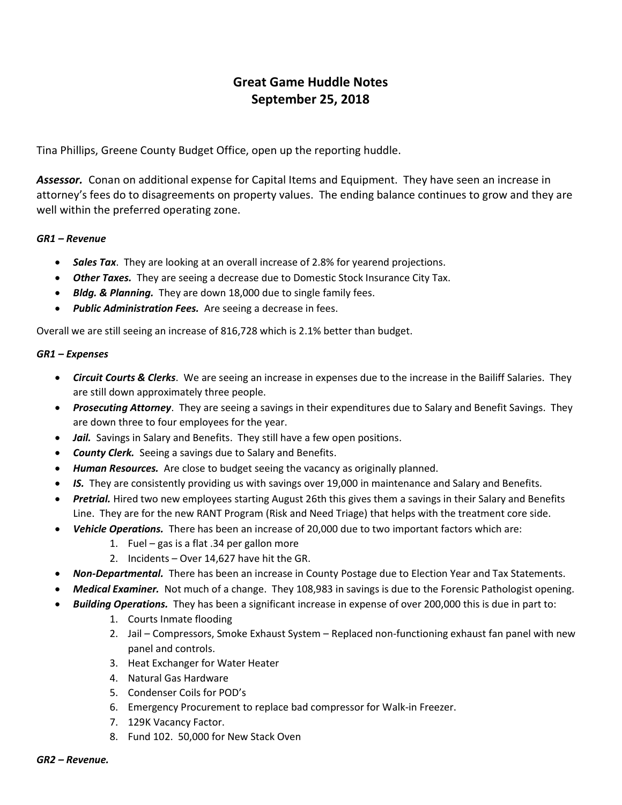# Great Game Huddle Notes September 25, 2018

Tina Phillips, Greene County Budget Office, open up the reporting huddle.

Assessor. Conan on additional expense for Capital Items and Equipment. They have seen an increase in attorney's fees do to disagreements on property values. The ending balance continues to grow and they are well within the preferred operating zone.

#### GR1 – Revenue

- Sales Tax. They are looking at an overall increase of 2.8% for yearend projections.
- **Other Taxes.** They are seeing a decrease due to Domestic Stock Insurance City Tax.
- Bldg. & Planning. They are down 18,000 due to single family fees.
- Public Administration Fees. Are seeing a decrease in fees.

Overall we are still seeing an increase of 816,728 which is 2.1% better than budget.

#### GR1 – Expenses

- Circuit Courts & Clerks. We are seeing an increase in expenses due to the increase in the Bailiff Salaries. They are still down approximately three people.
- Prosecuting Attorney. They are seeing a savings in their expenditures due to Salary and Benefit Savings. They are down three to four employees for the year.
- Jail. Savings in Salary and Benefits. They still have a few open positions.
- **County Clerk.** Seeing a savings due to Salary and Benefits.
- Human Resources. Are close to budget seeing the vacancy as originally planned.
- IS. They are consistently providing us with savings over 19,000 in maintenance and Salary and Benefits.
- Pretrial. Hired two new employees starting August 26th this gives them a savings in their Salary and Benefits Line. They are for the new RANT Program (Risk and Need Triage) that helps with the treatment core side.
- Vehicle Operations. There has been an increase of 20,000 due to two important factors which are:
	- 1. Fuel gas is a flat .34 per gallon more
	- 2. Incidents Over 14,627 have hit the GR.
- Non-Departmental. There has been an increase in County Postage due to Election Year and Tax Statements.
- Medical Examiner. Not much of a change. They 108,983 in savings is due to the Forensic Pathologist opening.
- Building Operations. They has been a significant increase in expense of over 200,000 this is due in part to:
	- 1. Courts Inmate flooding
	- 2. Jail Compressors, Smoke Exhaust System Replaced non-functioning exhaust fan panel with new panel and controls.
	- 3. Heat Exchanger for Water Heater
	- 4. Natural Gas Hardware
	- 5. Condenser Coils for POD's
	- 6. Emergency Procurement to replace bad compressor for Walk-in Freezer.
	- 7. 129K Vacancy Factor.
	- 8. Fund 102. 50,000 for New Stack Oven